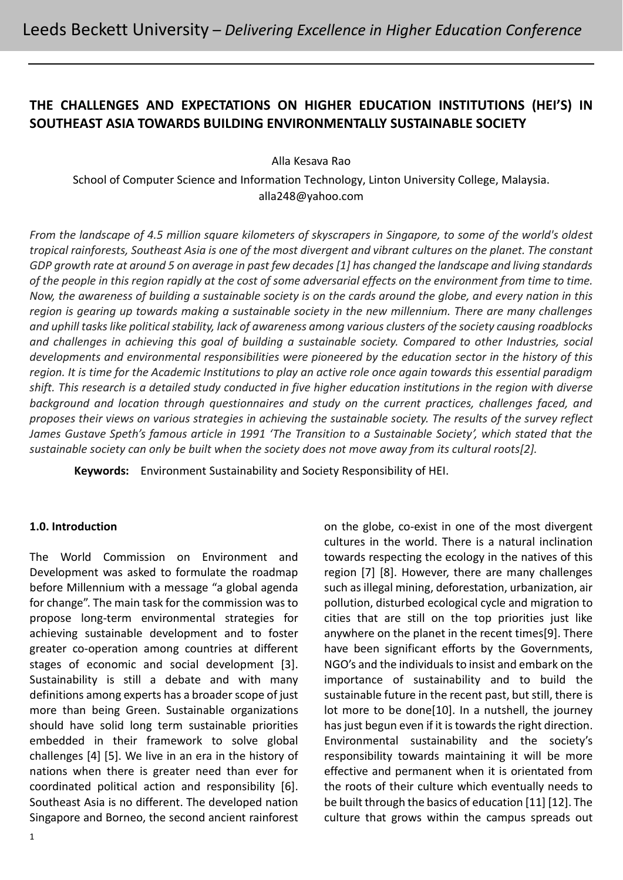# **THE CHALLENGES AND EXPECTATIONS ON HIGHER EDUCATION INSTITUTIONS (HEI'S) IN SOUTHEAST ASIA TOWARDS BUILDING ENVIRONMENTALLY SUSTAINABLE SOCIETY**

Alla Kesava Rao

School of Computer Science and Information Technology, Linton University College, Malaysia. alla248@yahoo.com

*From the landscape of 4.5 million square kilometers of skyscrapers in Singapore, to some of the world's oldest tropical rainforests, Southeast Asia is one of the most divergent and vibrant cultures on the planet. The constant GDP growth rate at around 5 on average in past few decades [1] has changed the landscape and living standards of the people in this region rapidly at the cost of some adversarial effects on the environment from time to time. Now, the awareness of building a sustainable society is on the cards around the globe, and every nation in this region is gearing up towards making a sustainable society in the new millennium. There are many challenges and uphill tasks like political stability, lack of awareness among various clusters of the society causing roadblocks and challenges in achieving this goal of building a sustainable society. Compared to other Industries, social developments and environmental responsibilities were pioneered by the education sector in the history of this region. It is time for the Academic Institutions to play an active role once again towards this essential paradigm shift. This research is a detailed study conducted in five higher education institutions in the region with diverse background and location through questionnaires and study on the current practices, challenges faced, and proposes their views on various strategies in achieving the sustainable society. The results of the survey reflect*  James Gustave Speth's famous article in 1991 'The Transition to a Sustainable Society', which stated that the *sustainable society can only be built when the society does not move away from its cultural roots[2].*

**Keywords:** Environment Sustainability and Society Responsibility of HEI.

## **1.0. Introduction**

The World Commission on Environment and Development was asked to formulate the roadmap before Millennium with a message "a global agenda for change". The main task for the commission was to propose long-term environmental strategies for achieving sustainable development and to foster greater co-operation among countries at different stages of economic and social development [3]. Sustainability is still a debate and with many definitions among experts has a broader scope of just more than being Green. Sustainable organizations should have solid long term sustainable priorities embedded in their framework to solve global challenges [4] [5]. We live in an era in the history of nations when there is greater need than ever for coordinated political action and responsibility [6]. Southeast Asia is no different. The developed nation Singapore and Borneo, the second ancient rainforest on the globe, co-exist in one of the most divergent cultures in the world. There is a natural inclination towards respecting the ecology in the natives of this region [7] [8]. However, there are many challenges such as illegal mining, deforestation, urbanization, air pollution, disturbed ecological cycle and migration to cities that are still on the top priorities just like anywhere on the planet in the recent times[9]. There have been significant efforts by the Governments, NGO's and the individuals to insist and embark on the importance of sustainability and to build the sustainable future in the recent past, but still, there is lot more to be done[10]. In a nutshell, the journey has just begun even if it is towards the right direction. Environmental sustainability and the society's responsibility towards maintaining it will be more effective and permanent when it is orientated from the roots of their culture which eventually needs to be built through the basics of education [11] [12]. The culture that grows within the campus spreads out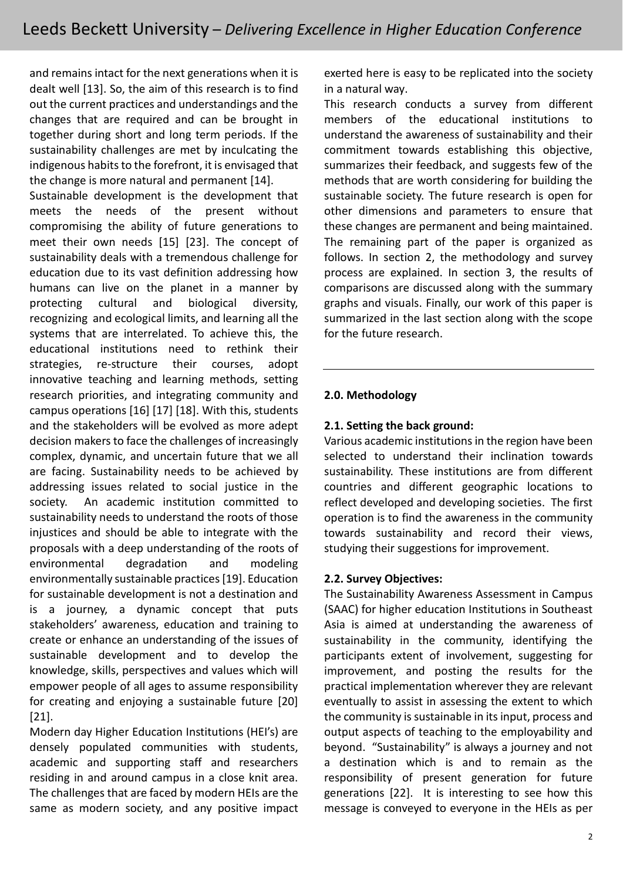and remains intact for the next generations when it is dealt well [13]. So, the aim of this research is to find out the current practices and understandings and the changes that are required and can be brought in together during short and long term periods. If the sustainability challenges are met by inculcating the indigenous habits to the forefront, it is envisaged that the change is more natural and permanent [14].

Sustainable development is the development that meets the needs of the present without compromising the ability of future generations to meet their own needs [15] [23]. The concept of sustainability deals with a tremendous challenge for education due to its vast definition addressing how humans can live on the planet in a manner by protecting cultural and biological diversity, recognizing and ecological limits, and learning all the systems that are interrelated. To achieve this, the educational institutions need to rethink their strategies, re-structure their courses, adopt innovative teaching and learning methods, setting research priorities, and integrating community and campus operations [16] [17] [18]. With this, students and the stakeholders will be evolved as more adept decision makers to face the challenges of increasingly complex, dynamic, and uncertain future that we all are facing. Sustainability needs to be achieved by addressing issues related to social justice in the society. An academic institution committed to sustainability needs to understand the roots of those injustices and should be able to integrate with the proposals with a deep understanding of the roots of environmental degradation and modeling environmentally sustainable practices [19]. Education for sustainable development is not a destination and is a journey, a dynamic concept that puts stakeholders' awareness, education and training to create or enhance an understanding of the issues of sustainable development and to develop the knowledge, skills, perspectives and values which will empower people of all ages to assume responsibility for creating and enjoying a sustainable future [20] [21].

Modern day Higher Education Institutions (HEI's) are densely populated communities with students, academic and supporting staff and researchers residing in and around campus in a close knit area. The challenges that are faced by modern HEIs are the same as modern society, and any positive impact exerted here is easy to be replicated into the society in a natural way.

This research conducts a survey from different members of the educational institutions to understand the awareness of sustainability and their commitment towards establishing this objective, summarizes their feedback, and suggests few of the methods that are worth considering for building the sustainable society. The future research is open for other dimensions and parameters to ensure that these changes are permanent and being maintained. The remaining part of the paper is organized as follows. In section 2, the methodology and survey process are explained. In section 3, the results of comparisons are discussed along with the summary graphs and visuals. Finally, our work of this paper is summarized in the last section along with the scope for the future research.

#### **2.0. Methodology**

#### **2.1. Setting the back ground:**

Various academic institutions in the region have been selected to understand their inclination towards sustainability. These institutions are from different countries and different geographic locations to reflect developed and developing societies. The first operation is to find the awareness in the community towards sustainability and record their views, studying their suggestions for improvement.

#### **2.2. Survey Objectives:**

The Sustainability Awareness Assessment in Campus (SAAC) for higher education Institutions in Southeast Asia is aimed at understanding the awareness of sustainability in the community, identifying the participants extent of involvement, suggesting for improvement, and posting the results for the practical implementation wherever they are relevant eventually to assist in assessing the extent to which the community is sustainable in its input, process and output aspects of teaching to the employability and beyond. "Sustainability" is always a journey and not a destination which is and to remain as the responsibility of present generation for future generations [22]. It is interesting to see how this message is conveyed to everyone in the HEIs as per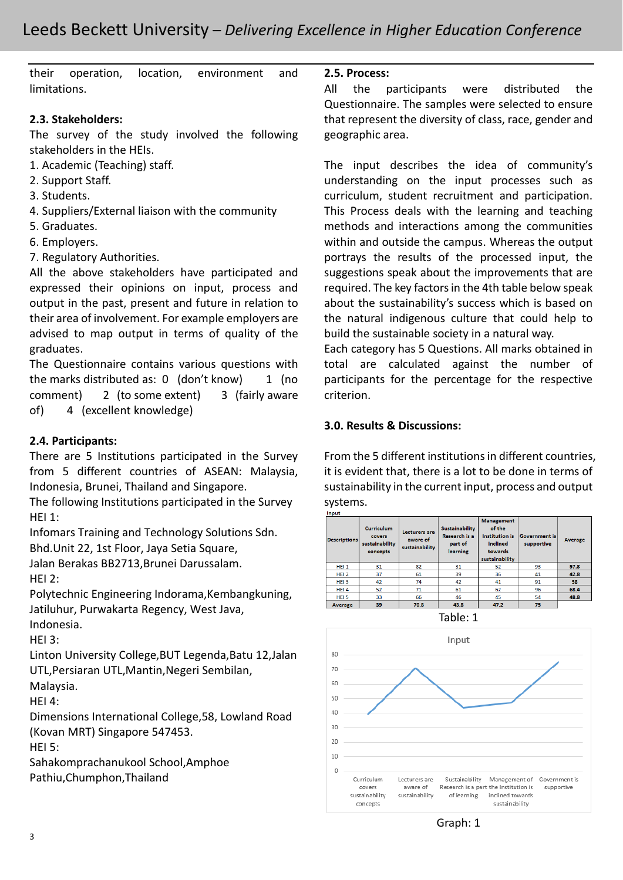their operation, location, environment and limitations.

## **2.3. Stakeholders:**

The survey of the study involved the following stakeholders in the HEIs.

- 1. Academic (Teaching) staff.
- 2. Support Staff.
- 3. Students.
- 4. Suppliers/External liaison with the community
- 5. Graduates.
- 6. Employers.
- 7. Regulatory Authorities.

All the above stakeholders have participated and expressed their opinions on input, process and output in the past, present and future in relation to their area of involvement. For example employers are advised to map output in terms of quality of the graduates.

The Questionnaire contains various questions with the marks distributed as:  $0 \cdot (don't know) 1 \cdot (no$ comment) 2 (to some extent) 3 (fairly aware of) 4 (excellent knowledge)

#### **2.4. Participants:**

There are 5 Institutions participated in the Survey from 5 different countries of ASEAN: Malaysia, Indonesia, Brunei, Thailand and Singapore.

The following Institutions participated in the Survey  $HFI 1:$ 

Infomars Training and Technology Solutions Sdn.

Bhd.Unit 22, 1st Floor, Jaya Setia Square,

Jalan Berakas BB2713,Brunei Darussalam. HEI 2:

Polytechnic Engineering Indorama,Kembangkuning, Jatiluhur, Purwakarta Regency, West Java, Indonesia.

HFI $3:$ 

Linton University College,BUT Legenda,Batu 12,Jalan UTL,Persiaran UTL,Mantin,Negeri Sembilan,

Malaysia.

HEI 4:

Dimensions International College,58, Lowland Road (Kovan MRT) Singapore 547453.

HEI 5:

Sahakomprachanukool School,Amphoe Pathiu,Chumphon,Thailand

**2.5. Process:**

All the participants were distributed the Questionnaire. The samples were selected to ensure that represent the diversity of class, race, gender and geographic area.

The input describes the idea of community's understanding on the input processes such as curriculum, student recruitment and participation. This Process deals with the learning and teaching methods and interactions among the communities within and outside the campus. Whereas the output portrays the results of the processed input, the suggestions speak about the improvements that are required. The key factors in the 4th table below speak about the sustainability's success which is based on the natural indigenous culture that could help to build the sustainable society in a natural way.

Each category has 5 Questions. All marks obtained in total are calculated against the number of participants for the percentage for the respective criterion.

#### **3.0. Results & Discussions:**

From the 5 different institutions in different countries, it is evident that, there is a lot to be done in terms of sustainability in the current input, process and output systems.

#### Input anageme Curriculum iustainability of the Lecturers are Research is a cover: متعينعته aware of **Average** sustainability part of inclined supportive sustainability learning toward: concepts tainabili HEI<sub>1</sub> 93 57.8 31 82 31 52  $42.8$ HEI 2 37 61 39  $36$ 41 HEI<sub>3</sub> 42 74 42 41 91 58 HEI 4 52  $\overline{71}$ 61  $62$ 68.4 96 HFL5 33 66  $46$  $\overline{4}$ 54 48.8 43.8  $47.2$  $70.8$ Average 39 75



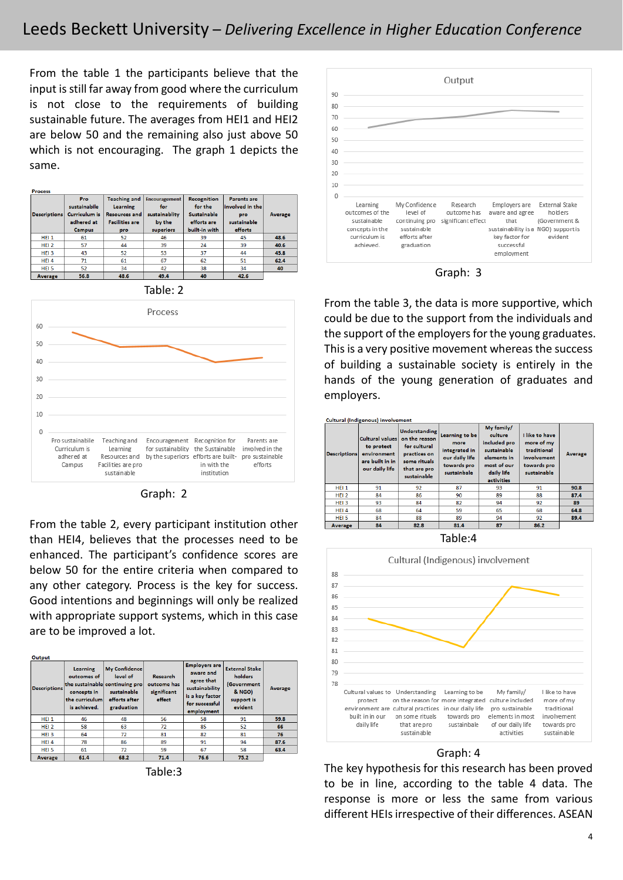From the table 1 the participants believe that the input is still far away from good where the curriculum is not close to the requirements of building sustainable future. The averages from HEI1 and HEI2 are below 50 and the remaining also just above 50 which is not encouraging. The graph 1 depicts the same.

| <b>Process</b>      |                      |                       |               |                    |                    |                |
|---------------------|----------------------|-----------------------|---------------|--------------------|--------------------|----------------|
|                     | Pro.                 | <b>Teaching and</b>   | Encouragement | <b>Recognition</b> | <b>Parents are</b> |                |
|                     | sustainabile         | <b>Learning</b>       | for           | for the            | involved in the    |                |
| <b>Descriptions</b> | <b>Curriculum is</b> | <b>Resources and</b>  | sustainablity | <b>Sustainable</b> | pro                | <b>Average</b> |
|                     | adhered at           | <b>Facilities are</b> | by the        | efforts are        | sustainable        |                |
|                     | <b>Campus</b>        | pro                   | superiors     | built-in with      | efforts            |                |
| HEI <sub>1</sub>    | 61                   | 52                    | 46            | 39                 | 45                 | 48.6           |
| HEI <sub>2</sub>    | 57                   | 44                    | 39            | 24                 | 39                 | 40.6           |
| HEI <sub>3</sub>    | 43                   | 52                    | 53            | 37                 | 44                 | 45.8           |
| HEI 4               | 71                   | 61                    | 67            | 62                 | 51                 | 62.4           |
| HEI <sub>5</sub>    | 52                   | 34                    | 42            | 38                 | 34                 | 40             |
| <b>Average</b>      | 56.8                 | 48.6                  | 49.4          | 40                 | 42.6               |                |



Graph: 2

From the table 2, every participant institution other than HEI4, believes that the processes need to be enhanced. The participant's confidence scores are below 50 for the entire criteria when compared to any other category. Process is the key for success. Good intentions and beginnings will only be realized with appropriate support systems, which in this case are to be improved a lot.

| Output              |                                                                          |                                                                                                           |                                                         |                                                                                                                      |                                                                                    |                |  |
|---------------------|--------------------------------------------------------------------------|-----------------------------------------------------------------------------------------------------------|---------------------------------------------------------|----------------------------------------------------------------------------------------------------------------------|------------------------------------------------------------------------------------|----------------|--|
| <b>Descriptions</b> | Learning<br>outcomes of<br>concepts in<br>the curriculum<br>is achieved. | My Confidence<br>level of<br>the sustainable continuing pro<br>sustainable<br>efforts after<br>graduation | <b>Research</b><br>outcome has<br>significant<br>effect | <b>Employers are</b><br>aware and<br>agree that<br>sustainability<br>is a key factor<br>for successful<br>employment | <b>External Stake</b><br>holders<br>(Government<br>& NGO)<br>support is<br>evident | <b>Average</b> |  |
| HEI <sub>1</sub>    | 46                                                                       | 48                                                                                                        | 56                                                      | 58                                                                                                                   | 91                                                                                 | 59.8           |  |
| HEI <sub>2</sub>    | 58                                                                       | 63                                                                                                        | 72                                                      | 85                                                                                                                   | 52                                                                                 | 66             |  |
| $HEI$ <sub>3</sub>  | 64                                                                       | 72                                                                                                        | 81                                                      | 82                                                                                                                   | 81                                                                                 | 76             |  |
| HEI 4               | 78                                                                       | 86                                                                                                        | 89                                                      | 91                                                                                                                   | 94                                                                                 | 87.6           |  |
| HFI <sub>5</sub>    | 61                                                                       | 72                                                                                                        | 59                                                      | 67                                                                                                                   | 58                                                                                 | 63.4           |  |
| Average             | 61.4                                                                     | 68.2                                                                                                      | 71.4                                                    | 76.6                                                                                                                 | 75.2                                                                               |                |  |

Table:3



Graph: 3

From the table 3, the data is more supportive, which could be due to the support from the individuals and the support of the employers for the young graduates. This is a very positive movement whereas the success of building a sustainable society is entirely in the hands of the young generation of graduates and employers.

| <b>Descriptions</b> | Cultural values<br>to protect<br>environment<br>are built in in<br>our daily life | <b>Understanding</b><br>on the reason<br>for cultural<br>practices on<br>some rituals<br>that are pro<br>sustainable | Learning to be<br>more<br>integrated in<br>our daily life<br>towards pro<br>sustainbale | My family/<br>culture<br>included pro<br>sustainable<br>elements in<br>most of our<br>daily life<br><b>activities</b> | I like to have<br>more of my<br>traditional<br>involvement<br>towards pro<br>sustainable | <b>Average</b> |
|---------------------|-----------------------------------------------------------------------------------|----------------------------------------------------------------------------------------------------------------------|-----------------------------------------------------------------------------------------|-----------------------------------------------------------------------------------------------------------------------|------------------------------------------------------------------------------------------|----------------|
| HEI <sub>1</sub>    | 91                                                                                | 92                                                                                                                   | 87                                                                                      | 93                                                                                                                    | 91                                                                                       | 90.8           |
| HEI <sub>2</sub>    | 84                                                                                | 86                                                                                                                   | 90                                                                                      | 89                                                                                                                    | 88                                                                                       | 87.4           |
| HEI <sub>3</sub>    | 93                                                                                | 84                                                                                                                   | 82                                                                                      | 94                                                                                                                    | 92                                                                                       | 89             |
| HEI4                | 68                                                                                | 64                                                                                                                   | 59                                                                                      | 65                                                                                                                    | 68                                                                                       | 64.8           |
| HEI <sub>5</sub>    | 84                                                                                | 88                                                                                                                   | 89                                                                                      | 94                                                                                                                    | 92                                                                                       | 89.4           |
| <b>Average</b>      | 84                                                                                | 82.8                                                                                                                 | 81.4                                                                                    | 87                                                                                                                    | 86.2                                                                                     |                |

Table:4



#### Graph: 4

The key hypothesis for this research has been proved to be in line, according to the table 4 data. The response is more or less the same from various different HEIs irrespective of their differences. ASEAN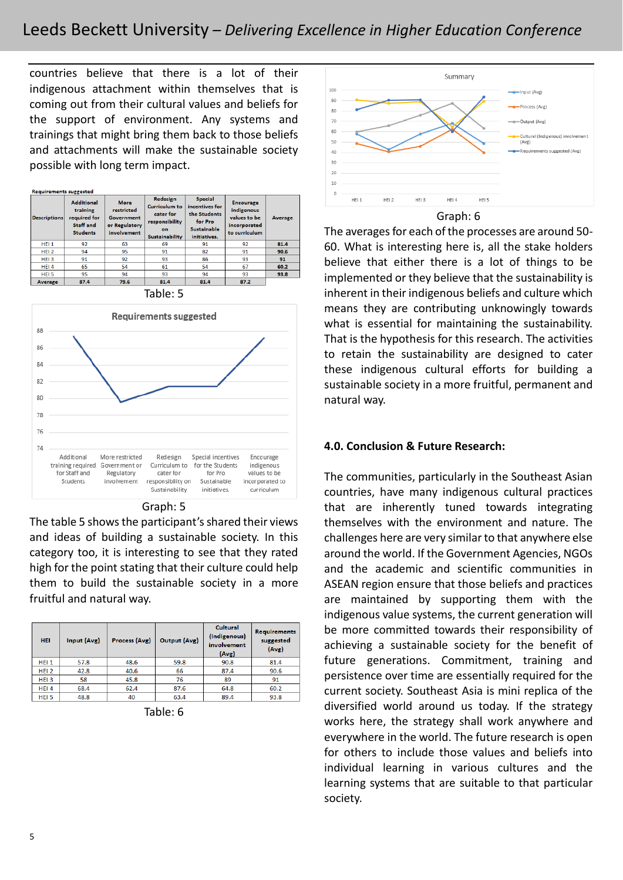countries believe that there is a lot of their indigenous attachment within themselves that is coming out from their cultural values and beliefs for the support of environment. Any systems and trainings that might bring them back to those beliefs and attachments will make the sustainable society possible with long term impact.

| <b>Descriptions</b> | <b>Additional</b><br>training<br>required for<br>Staff and<br><b>Students</b> | <b>More</b><br>restricted<br><b>Government</b><br>or Regulatory<br>involvement | Redesign<br><b>Curriculum to</b><br>cater for<br>responsibility<br>on.<br><b>Sustainability</b> | <b>Special</b><br>incentives for<br>the Students<br>for Pro<br><b>Sustainable</b><br>initiatives. | <b>Encourage</b><br>indigenous<br>values to be<br>incorporated<br>to curriculum | <b>Average</b> |
|---------------------|-------------------------------------------------------------------------------|--------------------------------------------------------------------------------|-------------------------------------------------------------------------------------------------|---------------------------------------------------------------------------------------------------|---------------------------------------------------------------------------------|----------------|
| HEI <sub>1</sub>    | 92                                                                            | 63                                                                             | 69                                                                                              | 91                                                                                                | 92                                                                              | 81.4           |
| HEI <sub>2</sub>    | 94                                                                            | 95                                                                             | 91                                                                                              | 82                                                                                                | 91                                                                              | 90.6           |
| HEI <sub>3</sub>    | 91                                                                            | 92                                                                             | 93                                                                                              | 86                                                                                                | 93                                                                              | 91             |
| HEI4                | 65                                                                            | 54                                                                             | 61                                                                                              | 54                                                                                                | 67                                                                              | 60.2           |
| HEI <sub>5</sub>    | 95                                                                            | 94                                                                             | 93                                                                                              | 94                                                                                                | 93                                                                              | 93.8           |
| Average             | 87.4                                                                          | 79.6                                                                           | 81.4                                                                                            | 81.4                                                                                              | 87.2                                                                            |                |





Graph: 5

The table 5 shows the participant's shared their views and ideas of building a sustainable society. In this category too, it is interesting to see that they rated high for the point stating that their culture could help them to build the sustainable society in a more fruitful and natural way.

| <b>HEI</b>       | Input (Avg) | Process (Avg) | Output (Avg) | Cultural<br>(Indigenous)<br>involvement<br>(Avg) | <b>Requirements</b><br>suggested<br>(Avg) |
|------------------|-------------|---------------|--------------|--------------------------------------------------|-------------------------------------------|
| HEI <sub>1</sub> | 57.8        | 48.6          | 59.8         | 90.8                                             | 81.4                                      |
| HEI <sub>2</sub> | 42.8        | 40.6          | 66           | 87.4                                             | 90.6                                      |
| HEI <sub>3</sub> | 58          | 45.8          | 76           | 89                                               | 91                                        |
| HEI <sub>4</sub> | 68.4        | 62.4          | 87.6         | 64.8                                             | 60.2                                      |
| HEI <sub>5</sub> | 48.8        | 40            | 63.4         | 89.4                                             | 93.8                                      |

Table: 6



Graph: 6

The averages for each of the processes are around 50- 60. What is interesting here is, all the stake holders believe that either there is a lot of things to be implemented or they believe that the sustainability is inherent in their indigenous beliefs and culture which means they are contributing unknowingly towards what is essential for maintaining the sustainability. That is the hypothesis for this research. The activities to retain the sustainability are designed to cater these indigenous cultural efforts for building a sustainable society in a more fruitful, permanent and natural way.

#### **4.0. Conclusion & Future Research:**

The communities, particularly in the Southeast Asian countries, have many indigenous cultural practices that are inherently tuned towards integrating themselves with the environment and nature. The challenges here are very similar to that anywhere else around the world. If the Government Agencies, NGOs and the academic and scientific communities in ASEAN region ensure that those beliefs and practices are maintained by supporting them with the indigenous value systems, the current generation will be more committed towards their responsibility of achieving a sustainable society for the benefit of future generations. Commitment, training and persistence over time are essentially required for the current society. Southeast Asia is mini replica of the diversified world around us today. If the strategy works here, the strategy shall work anywhere and everywhere in the world. The future research is open for others to include those values and beliefs into individual learning in various cultures and the learning systems that are suitable to that particular society.